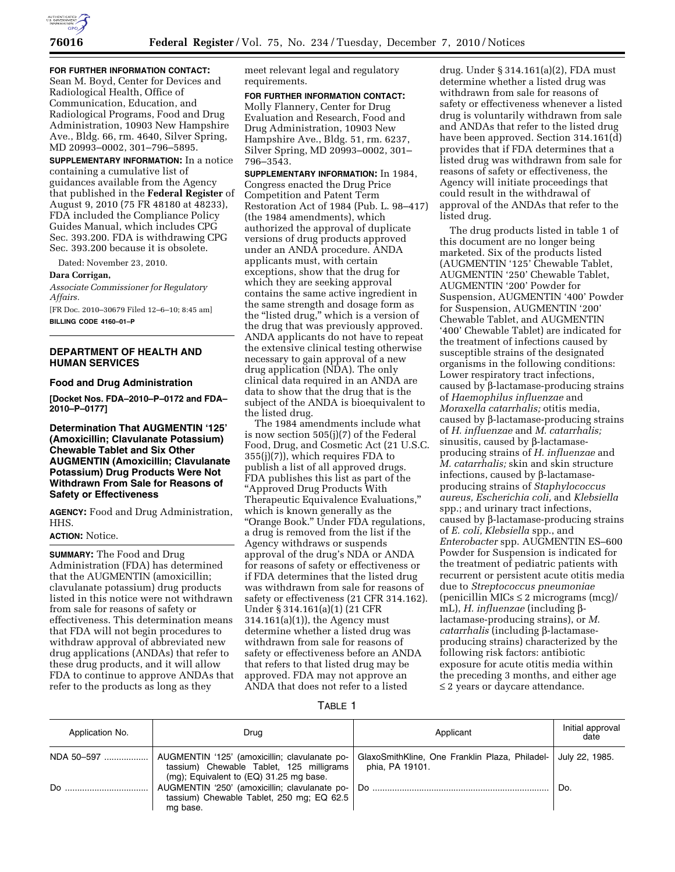

**FOR FURTHER INFORMATION CONTACT:** 

Sean M. Boyd, Center for Devices and Radiological Health, Office of Communication, Education, and Radiological Programs, Food and Drug Administration, 10903 New Hampshire Ave., Bldg. 66, rm. 4640, Silver Spring, MD 20993–0002, 301–796–5895.

**SUPPLEMENTARY INFORMATION:** In a notice containing a cumulative list of guidances available from the Agency that published in the **Federal Register** of August 9, 2010 (75 FR 48180 at 48233), FDA included the Compliance Policy Guides Manual, which includes CPG Sec. 393.200. FDA is withdrawing CPG Sec. 393.200 because it is obsolete.

Dated: November 23, 2010.

#### **Dara Corrigan,**

*Associate Commissioner for Regulatory Affairs.* 

[FR Doc. 2010–30679 Filed 12–6–10; 8:45 am] **BILLING CODE 4160–01–P** 

# **DEPARTMENT OF HEALTH AND HUMAN SERVICES**

### **Food and Drug Administration**

**[Docket Nos. FDA–2010–P–0172 and FDA– 2010–P–0177]** 

# **Determination That AUGMENTIN '125' (Amoxicillin; Clavulanate Potassium) Chewable Tablet and Six Other AUGMENTIN (Amoxicillin; Clavulanate Potassium) Drug Products Were Not Withdrawn From Sale for Reasons of Safety or Effectiveness**

**AGENCY:** Food and Drug Administration, HHS.

# **ACTION:** Notice.

**SUMMARY:** The Food and Drug Administration (FDA) has determined that the AUGMENTIN (amoxicillin; clavulanate potassium) drug products listed in this notice were not withdrawn from sale for reasons of safety or effectiveness. This determination means that FDA will not begin procedures to withdraw approval of abbreviated new drug applications (ANDAs) that refer to these drug products, and it will allow FDA to continue to approve ANDAs that refer to the products as long as they

meet relevant legal and regulatory requirements.

# **FOR FURTHER INFORMATION CONTACT:**

Molly Flannery, Center for Drug Evaluation and Research, Food and Drug Administration, 10903 New Hampshire Ave., Bldg. 51, rm. 6237, Silver Spring, MD 20993–0002, 301– 796–3543.

**SUPPLEMENTARY INFORMATION:** In 1984, Congress enacted the Drug Price Competition and Patent Term Restoration Act of 1984 (Pub. L. 98–417) (the 1984 amendments), which authorized the approval of duplicate versions of drug products approved under an ANDA procedure. ANDA applicants must, with certain exceptions, show that the drug for which they are seeking approval contains the same active ingredient in the same strength and dosage form as the "listed drug," which is a version of the drug that was previously approved. ANDA applicants do not have to repeat the extensive clinical testing otherwise necessary to gain approval of a new drug application (NDA). The only clinical data required in an ANDA are data to show that the drug that is the subject of the ANDA is bioequivalent to the listed drug.

The 1984 amendments include what is now section 505(j)(7) of the Federal Food, Drug, and Cosmetic Act (21 U.S.C. 355(j)(7)), which requires FDA to publish a list of all approved drugs. FDA publishes this list as part of the ''Approved Drug Products With Therapeutic Equivalence Evaluations,'' which is known generally as the ''Orange Book.'' Under FDA regulations, a drug is removed from the list if the Agency withdraws or suspends approval of the drug's NDA or ANDA for reasons of safety or effectiveness or if FDA determines that the listed drug was withdrawn from sale for reasons of safety or effectiveness (21 CFR 314.162). Under § 314.161(a)(1) (21 CFR 314.161(a)(1)), the Agency must determine whether a listed drug was withdrawn from sale for reasons of safety or effectiveness before an ANDA that refers to that listed drug may be approved. FDA may not approve an ANDA that does not refer to a listed

drug. Under § 314.161(a)(2), FDA must determine whether a listed drug was withdrawn from sale for reasons of safety or effectiveness whenever a listed drug is voluntarily withdrawn from sale and ANDAs that refer to the listed drug have been approved. Section 314.161(d) provides that if FDA determines that a listed drug was withdrawn from sale for reasons of safety or effectiveness, the Agency will initiate proceedings that could result in the withdrawal of approval of the ANDAs that refer to the listed drug.

The drug products listed in table 1 of this document are no longer being marketed. Six of the products listed (AUGMENTIN '125' Chewable Tablet, AUGMENTIN '250' Chewable Tablet, AUGMENTIN '200' Powder for Suspension, AUGMENTIN '400' Powder for Suspension, AUGMENTIN '200' Chewable Tablet, and AUGMENTIN '400' Chewable Tablet) are indicated for the treatment of infections caused by susceptible strains of the designated organisms in the following conditions: Lower respiratory tract infections, caused by  $\beta$ -lactamase-producing strains of *Haemophilus influenzae* and *Moraxella catarrhalis;* otitis media, caused by  $\beta$ -lactamase-producing strains of *H. influenzae* and *M. catarrhalis;*  sinusitis, caused by  $\beta$ -lactamaseproducing strains of *H. influenzae* and *M. catarrhalis;* skin and skin structure infections, caused by  $\beta$ -lactamaseproducing strains of *Staphylococcus aureus, Escherichia coli,* and *Klebsiella*  spp.; and urinary tract infections, caused by  $\beta$ -lactamase-producing strains of *E. coli, Klebsiella* spp., and *Enterobacter* spp. AUGMENTIN ES–600 Powder for Suspension is indicated for the treatment of pediatric patients with recurrent or persistent acute otitis media due to *Streptococcus pneumoniae*  (penicillin MICs ≤ 2 micrograms (mcg)/ mL), *H. influenzae* (including blactamase-producing strains), or *M. catarrhalis* (including β-lactamaseproducing strains) characterized by the following risk factors: antibiotic exposure for acute otitis media within the preceding 3 months, and either age ≤ 2 years or daycare attendance.

TABLE 1

| Application No. | Drug                                                                                                                                 | Applicant                                                                          | Initial approval<br>date |
|-----------------|--------------------------------------------------------------------------------------------------------------------------------------|------------------------------------------------------------------------------------|--------------------------|
| NDA 50–597      | AUGMENTIN '125' (amoxicillin; clavulanate po-<br>tassium) Chewable Tablet, 125 milligrams<br>(mg); Equivalent to (EQ) 31.25 mg base. | GlaxoSmithKline, One Franklin Plaza, Philadel-   July 22, 1985.<br>phia, PA 19101. |                          |
| Do.             | AUGMENTIN '250' (amoxicillin; clavulanate po-<br>tassium) Chewable Tablet, 250 mg; EQ 62.5<br>mg base.                               | Do                                                                                 | Do.                      |